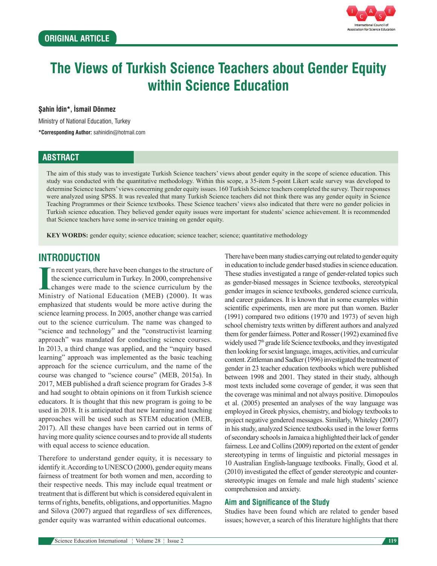

# **The Views of Turkish Science Teachers about Gender Equity within Science Education**

#### **Şahin İdin\*, İsmail Dönmez**

Ministry of National Education, Turkey

**\*Corresponding Author:** sahinidin@hotmail.com

### **ABSTRACT**

The aim of this study was to investigate Turkish Science teachers' views about gender equity in the scope of science education. This study was conducted with the quantitative methodology. Within this scope, a 35-item 5-point Likert scale survey was developed to determine Science teachers' views concerning gender equity issues. 160 Turkish Science teachers completed the survey. Their responses were analyzed using SPSS. It was revealed that many Turkish Science teachers did not think there was any gender equity in Science Teaching Programmes or their Science textbooks. These Science teachers' views also indicated that there were no gender policies in Turkish science education. They believed gender equity issues were important for students' science achievement. It is recommended that Science teachers have some in-service training on gender equity.

**KEY WORDS:** gender equity; science education; science teacher; science; quantitative methodology

## **INTRODUCTION**

In recent years, there have been changes to the structure of the science curriculum in Turkey. In 2000, comprehensive changes were made to the science curriculum by the Ministry of National Education (MEB) (2000). It was n recent years, there have been changes to the structure of the science curriculum in Turkey. In 2000, comprehensive changes were made to the science curriculum by the emphasized that students would be more active during the science learning process. In 2005, another change was carried out to the science curriculum. The name was changed to "science and technology" and the "constructivist learning approach" was mandated for conducting science courses. In 2013, a third change was applied, and the "ınquiry based learning" approach was implemented as the basic teaching approach for the science curriculum, and the name of the course was changed to "science course" (MEB, 2015a). In 2017, MEB published a draft science program for Grades 3-8 and had sought to obtain opinions on it from Turkish science educators. It is thought that this new program is going to be used in 2018. It is anticipated that new learning and teaching approaches will be used such as STEM education (MEB, 2017). All these changes have been carried out in terms of having more quality science courses and to provide all students with equal access to science education.

Therefore to understand gender equity, it is necessary to identify it. According to UNESCO (2000), gender equity means fairness of treatment for both women and men, according to their respective needs. This may include equal treatment or treatment that is different but which is considered equivalent in terms of rights, benefits, obligations, and opportunities. Magno and Silova (2007) argued that regardless of sex differences, gender equity was warranted within educational outcomes.

There have been many studies carrying out related to gender equity in education to include gender based studies in science education. These studies investigated a range of gender-related topics such as gender-biased messages in Science textbooks, stereotypical gender images in science textbooks, gendered science curricula, and career guidances. It is known that in some examples within scientific experiments, men are more put than women. Bazler (1991) compared two editions (1970 and 1973) of seven high school chemistry texts written by different authors and analyzed them for gender fairness. Potter and Rosser (1992) examined five widely used 7<sup>th</sup> grade life Science textbooks, and they investigated then looking for sexist language, images, activities, and curricular content. Zittleman and Sadker (1996) investigated the treatment of gender in 23 teacher education textbooks which were published between 1998 and 2001. They stated in their study, although most texts included some coverage of gender, it was seen that the coverage was minimal and not always positive. Dimopoulos et al. (2005) presented an analyses of the way language was employed in Greek physics, chemistry, and biology textbooks to project negative gendered messages. Similarly, Whiteley (2007) in his study, analyzed Science textbooks used in the lower forms of secondary schools in Jamaica a highlighted their lack of gender fairness. Lee and Collins (2009) reported on the extent of gender stereotyping in terms of linguistic and pictorial messages in 10 Australian English-language textbooks. Finally, Good et al. (2010) investigated the effect of gender stereotypic and counterstereotypic images on female and male high students' science comprehension and anxiety.

#### **Aim and Significance of the Study**

Studies have been found which are related to gender based issues; however, a search of this literature highlights that there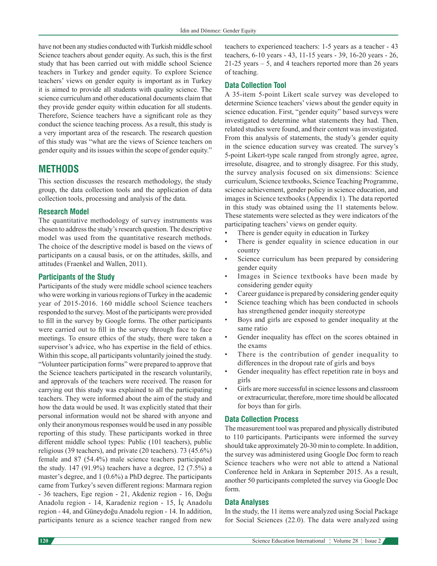have not been any studies conducted with Turkish middle school Science teachers about gender equity. As such, this is the first study that has been carried out with middle school Science teachers in Turkey and gender equity. To explore Science teachers' views on gender equity is important as in Turkey it is aimed to provide all students with quality science. The science curriculum and other educational documents claim that they provide gender equity within education for all students. Therefore, Science teachers have a significant role as they conduct the science teaching process. As a result, this study is a very important area of the research. The research question of this study was "what are the views of Science teachers on gender equity and its issues within the scope of gender equity."

## **METHODS**

This section discusses the research methodology, the study group, the data collection tools and the application of data collection tools, processing and analysis of the data.

#### **Research Model**

The quantitative methodology of survey instruments was chosen to address the study's research question. The descriptive model was used from the quantitative research methods. The choice of the descriptive model is based on the views of participants on a causal basis, or on the attitudes, skills, and attitudes (Fraenkel and Wallen, 2011).

#### **Participants of the Study**

Participants of the study were middle school science teachers who were working in various regions of Turkey in the academic year of 2015-2016. 160 middle school Science teachers responded to the survey. Most of the participants were provided to fill in the survey by Google forms. The other participants were carried out to fill in the survey through face to face meetings. To ensure ethics of the study, there were taken a supervisor's advice, who has expertise in the field of ethics. Within this scope, all participants voluntarily joined the study. "Volunteer participation forms" were prepared to approve that the Science teachers participated in the research voluntarily, and approvals of the teachers were received. The reason for carrying out this study was explained to all the participating teachers. They were informed about the aim of the study and how the data would be used. It was explicitly stated that their personal information would not be shared with anyone and only their anonymous responses would be used in any possible reporting of this study. These participants worked in three different middle school types: Public (101 teachers), public religious (39 teachers), and private (20 teachers). 73 (45.6%) female and 87 (54.4%) male science teachers participated the study. 147 (91.9%) teachers have a degree, 12 (7.5%) a master's degree, and 1 (0.6%) a PhD degree. The participants came from Turkey's seven different regions: Marmara region - 36 teachers, Ege region - 21, Akdeniz region - 16, Doğu Anadolu region - 14, Karadeniz region - 15, İç Anadolu region - 44, and Güneydoğu Anadolu region - 14. In addition, participants tenure as a science teacher ranged from new

teachers to experienced teachers: 1-5 years as a teacher - 43 teachers, 6-10 years - 43, 11-15 years - 39, 16-20 years - 26, 21-25 years – 5, and 4 teachers reported more than 26 years of teaching.

#### **Data Collection Tool**

A 35-item 5-point Likert scale survey was developed to determine Science teachers' views about the gender equity in science education. First, "gender equity" based surveys were investigated to determine what statements they had. Then, related studies were found, and their content was investigated. From this analysis of statements, the study's gender equity in the science education survey was created. The survey's 5-point Likert-type scale ranged from strongly agree, agree, irresolute, disagree, and to strongly disagree. For this study, the survey analysis focused on six dimensions: Science curriculum, Science textbooks, Science Teaching Programme, science achievement, gender policy in science education, and images in Science textbooks (Appendix 1). The data reported in this study was obtained using the 11 statements below. These statements were selected as they were indicators of the participating teachers' views on gender equity.

- There is gender equity in education in Turkey
- There is gender equality in science education in our country
- Science curriculum has been prepared by considering gender equity
- Images in Science textbooks have been made by considering gender equity
- Career guidance is prepared by considering gender equity
- Science teaching which has been conducted in schools has strengthened gender inequity stereotype
- Boys and girls are exposed to gender inequality at the same ratio
- Gender inequality has effect on the scores obtained in the exams
- There is the contribution of gender inequality to differences in the dropout rate of girls and boys
- Gender inequality has effect repetition rate in boys and girls
- Girls are more successful in science lessons and classroom or extracurricular, therefore, more time should be allocated for boys than for girls.

#### **Data Collection Process**

The measurement tool was prepared and physically distributed to 110 participants. Participants were informed the survey should take approximately 20-30 min to complete. In addition, the survey was administered using Google Doc form to reach Science teachers who were not able to attend a National Conference held in Ankara in September 2015. As a result, another 50 participants completed the survey via Google Doc form.

#### **Data Analyses**

In the study, the 11 items were analyzed using Social Package for Social Sciences (22.0). The data were analyzed using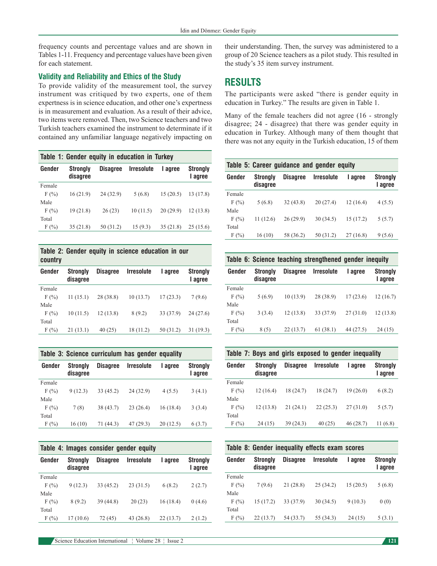frequency counts and percentage values and are shown in Tables 1-11. Frequency and percentage values have been given for each statement.

#### **Validity and Reliability and Ethics of the Study**

To provide validity of the measurement tool, the survey instrument was critiqued by two experts, one of them expertness is in science education, and other one's expertness is in measurement and evaluation. As a result of their advice, two items were removed. Then, two Science teachers and two Turkish teachers examined the instrument to determinate if it contained any unfamiliar language negatively impacting on

| Table 1: Gender equity in education in Turkey |                             |                 |                   |          |                            |  |  |  |  |
|-----------------------------------------------|-----------------------------|-----------------|-------------------|----------|----------------------------|--|--|--|--|
| Gender                                        | <b>Strongly</b><br>disagree | <b>Disagree</b> | <b>Irresolute</b> | I agree  | <b>Strongly</b><br>I agree |  |  |  |  |
| Female                                        |                             |                 |                   |          |                            |  |  |  |  |
| F(%)                                          | 16(21.9)                    | 24 (32.9)       | 5(6.8)            | 15(20.5) | 13 (17.8)                  |  |  |  |  |
| Male                                          |                             |                 |                   |          |                            |  |  |  |  |
| F(%)                                          | 19(21.8)                    | 26(23)          | 10(11.5)          | 20(29.9) | 12(13.8)                   |  |  |  |  |
| Total                                         |                             |                 |                   |          |                            |  |  |  |  |
| F(%)                                          | 35(21.8)                    | 50 (31.2)       | 15(9.3)           | 35(21.8) | 25(15.6)                   |  |  |  |  |



| Gender  | <b>Strongly</b><br>disagree | <b>Disagree</b> | <b>Irresolute</b> | I agree   | <b>Strongly</b><br>I agree |
|---------|-----------------------------|-----------------|-------------------|-----------|----------------------------|
| Female  |                             |                 |                   |           |                            |
| $F(\%)$ | 11(15.1)                    | 28 (38.8)       | 10(13.7)          | 17(23.3)  | 7(9.6)                     |
| Male    |                             |                 |                   |           |                            |
| $F(\%)$ | 10(11.5)                    | 12(13.8)        | 8(9.2)            | 33 (37.9) | 24(27.6)                   |
| Total   |                             |                 |                   |           |                            |
| F(%)    | 21(13.1)                    | 40(25)          | 18 (11.2)         | 50(31.2)  | 31(19.3)                   |

| Table 3: Science curriculum has gender equality |                             |                 |                   |          |                            |  |  |  |
|-------------------------------------------------|-----------------------------|-----------------|-------------------|----------|----------------------------|--|--|--|
| Gender                                          | <b>Strongly</b><br>disagree | <b>Disagree</b> | <b>Irresolute</b> | I agree  | <b>Strongly</b><br>I agree |  |  |  |
| Female                                          |                             |                 |                   |          |                            |  |  |  |
| F(%)                                            | 9(12.3)                     | 33(45.2)        | 24(32.9)          | 4(5.5)   | 3(4.1)                     |  |  |  |
| Male                                            |                             |                 |                   |          |                            |  |  |  |
| F(%)                                            | 7(8)                        | 38 (43.7)       | 23(26.4)          | 16(18.4) | 3(3.4)                     |  |  |  |
| Total                                           |                             |                 |                   |          |                            |  |  |  |
| F(%)                                            | 16(10)                      | 71 (44.3)       | 47(29.3)          | 20(12.5) | 6(3.7)                     |  |  |  |

| Table 4: Images consider gender equity |                             |                 |                   |          |                            |  |  |  |  |  |
|----------------------------------------|-----------------------------|-----------------|-------------------|----------|----------------------------|--|--|--|--|--|
| Gender                                 | <b>Strongly</b><br>disagree | <b>Disagree</b> | <b>Irresolute</b> | I agree  | <b>Strongly</b><br>I agree |  |  |  |  |  |
| Female                                 |                             |                 |                   |          |                            |  |  |  |  |  |
| F(%)                                   | 9(12.3)                     | 33 (45.2)       | 23(31.5)          | 6(8.2)   | 2(2.7)                     |  |  |  |  |  |
| Male                                   |                             |                 |                   |          |                            |  |  |  |  |  |
| F(%)                                   | 8(9.2)                      | 39 (44.8)       | 20(23)            | 16(18.4) | 0(4.6)                     |  |  |  |  |  |
| Total                                  |                             |                 |                   |          |                            |  |  |  |  |  |
| F(%)                                   | 17 (10.6)                   | 72 (45)         | 43 (26.8)         | 22(13.7) | 2(1.2)                     |  |  |  |  |  |

their understanding. Then, the survey was administered to a group of 20 Science teachers as a pilot study. This resulted in the study's 35 item survey instrument.

## **RESULTS**

The participants were asked "there is gender equity in education in Turkey." The results are given in Table 1.

Many of the female teachers did not agree (16 - strongly disagree; 24 - disagree) that there was gender equity in education in Turkey. Although many of them thought that there was not any equity in the Turkish education, 15 of them

| Table 5: Career guidance and gender equity |                             |                 |                   |           |                            |  |  |  |  |
|--------------------------------------------|-----------------------------|-----------------|-------------------|-----------|----------------------------|--|--|--|--|
| Gender                                     | <b>Strongly</b><br>disagree | <b>Disagree</b> | <b>Irresolute</b> | I agree   | <b>Strongly</b><br>I agree |  |  |  |  |
| Female                                     |                             |                 |                   |           |                            |  |  |  |  |
| F(%)                                       | 5(6.8)                      | 32(43.8)        | 20(27.4)          | 12 (16.4) | 4(5.5)                     |  |  |  |  |
| Male                                       |                             |                 |                   |           |                            |  |  |  |  |
| F(%)                                       | 11(12.6)                    | 26(29.9)        | 30(34.5)          | 15(17.2)  | 5(5.7)                     |  |  |  |  |
| Total                                      |                             |                 |                   |           |                            |  |  |  |  |
| F(%)                                       | 16(10)                      | 58 (36.2)       | 50 (31.2)         | 27(16.8)  | 9(5.6)                     |  |  |  |  |

**Table 6: Science teaching strengthened gender inequity Gender Strongly Disagree Irresolute I agree Strongly** 

| ucliuci | <b>ULI UIIYIV</b><br>disagree |          | <b>DISCUTE ILLESURIE</b> | ι αγισσ   | <b>ULI UIIYI</b><br>I agree |
|---------|-------------------------------|----------|--------------------------|-----------|-----------------------------|
| Female  |                               |          |                          |           |                             |
| F(%)    | 5(6.9)                        | 10(13.9) | 28 (38.9)                | 17(23.6)  | 12(16.7)                    |
| Male    |                               |          |                          |           |                             |
| F(%)    | 3(3.4)                        | 12(13.8) | 33 (37.9)                | 27(31.0)  | 12(13.8)                    |
| Total   |                               |          |                          |           |                             |
| F(%)    | 8(5)                          | 22(13.7) | 61(38.1)                 | 44 (27.5) | 24(15)                      |

**Table 7: Boys and girls exposed to gender inequality**

| Gender | <b>Strongly</b><br>disagree | <b>Disagree</b> | <b>Irresolute</b> | I agree  | <b>Strongly</b><br>I agree |
|--------|-----------------------------|-----------------|-------------------|----------|----------------------------|
| Female |                             |                 |                   |          |                            |
| F(%    | 12 (16.4)                   | 18 (24.7)       | 18 (24.7)         | 19(26.0) | 6(8.2)                     |
| Male   |                             |                 |                   |          |                            |
| F(%    | 12(13.8)                    | 21(24.1)        | 22(25.3)          | 27(31.0) | 5(5.7)                     |
| Total  |                             |                 |                   |          |                            |
| F(%)   | 24(15)                      | 39(24.3)        | 40(25)            | 46(28.7) | 11(6.8)                    |

| Table 8: Gender inequality effects exam scores |                             |                 |                   |          |                            |  |  |  |  |
|------------------------------------------------|-----------------------------|-----------------|-------------------|----------|----------------------------|--|--|--|--|
| Gender                                         | <b>Strongly</b><br>disagree | <b>Disagree</b> | <b>Irresolute</b> | I agree  | <b>Strongly</b><br>I agree |  |  |  |  |
| Female                                         |                             |                 |                   |          |                            |  |  |  |  |
| F(%)                                           | 7(9.6)                      | 21(28.8)        | 25(34.2)          | 15(20.5) | 5(6.8)                     |  |  |  |  |
| Male                                           |                             |                 |                   |          |                            |  |  |  |  |
| F(%)                                           | 15(17.2)                    | 33 (37.9)       | 30(34.5)          | 9(10.3)  | 0(0)                       |  |  |  |  |
| Total                                          |                             |                 |                   |          |                            |  |  |  |  |
| F(%                                            | 22(13.7)                    | 54 (33.7)       | 55 (34.3)         | 24(15)   | 5(3.1)                     |  |  |  |  |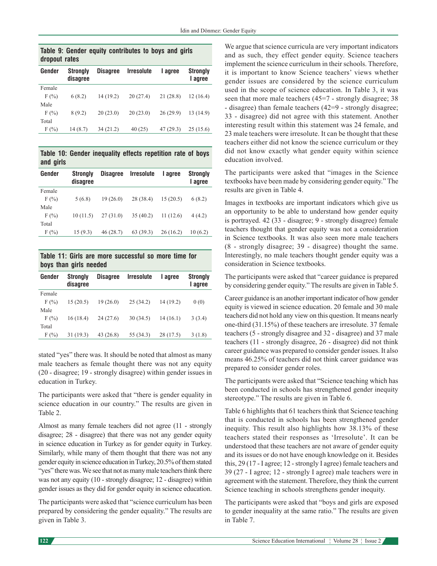| dropout rates | Table 9: Gender equity contributes to boys and girls |  |  |  |
|---------------|------------------------------------------------------|--|--|--|
|               | .                                                    |  |  |  |

| Gender | <b>Strongly</b><br>disagree | <b>Disagree</b> | <b>Irresolute</b> | I agree  | <b>Strongly</b><br>I agree |
|--------|-----------------------------|-----------------|-------------------|----------|----------------------------|
| Female |                             |                 |                   |          |                            |
| F(%)   | 6(8.2)                      | 14(19.2)        | 20(27.4)          | 21(28.8) | 12(16.4)                   |
| Male   |                             |                 |                   |          |                            |
| F(%)   | 8(9.2)                      | 20(23.0)        | 20(23.0)          | 26(29.9) | 13(14.9)                   |
| Total  |                             |                 |                   |          |                            |
| F(%)   | 14(8.7)                     | 34(21.2)        | 40(25)            | 47(29.3) | 25(15.6)                   |

**Table 10: Gender inequality effects repetition rate of boys and girls**

| Gender | <b>Strongly</b><br>disagree | <b>Disagree</b> | <i><u><b>Irresolute</b></u></i> | I agree  | <b>Strongly</b><br>I agree |
|--------|-----------------------------|-----------------|---------------------------------|----------|----------------------------|
| Female |                             |                 |                                 |          |                            |
| F(%)   | 5(6.8)                      | 19(26.0)        | 28 (38.4)                       | 15(20.5) | 6(8.2)                     |
| Male   |                             |                 |                                 |          |                            |
| F(%)   | 10(11.5)                    | 27(31.0)        | 35(40.2)                        | 11(12.6) | 4(4.2)                     |
| Total  |                             |                 |                                 |          |                            |
| F(%)   | 15(9.3)                     | 46(28.7)        | 63(39.3)                        | 26(16.2) | 10(6.2)                    |
|        |                             |                 |                                 |          |                            |

**Table 11: Girls are more successful so more time for boys than girls needed**

| Gender | <b>Strongly</b><br>disagree | <b>Disagree</b> | <b>Irresolute</b> | I agree   | <b>Strongly</b><br>I agree |
|--------|-----------------------------|-----------------|-------------------|-----------|----------------------------|
| Female |                             |                 |                   |           |                            |
| F(%)   | 15(20.5)                    | 19(26.0)        | 25(34.2)          | 14(19.2)  | 0(0)                       |
| Male   |                             |                 |                   |           |                            |
| F(%)   | 16(18.4)                    | 24(27.6)        | 30(34.5)          | 14(16.1)  | 3(3.4)                     |
| Total  |                             |                 |                   |           |                            |
| F(%)   | 31(19.3)                    | 43(26.8)        | 55 (34.3)         | 28 (17.5) | 3(1.8)                     |

stated "yes" there was. It should be noted that almost as many male teachers as female thought there was not any equity (20 - disagree; 19 - strongly disagree) within gender issues in education in Turkey.

The participants were asked that "there is gender equality in science education in our country." The results are given in Table 2.

Almost as many female teachers did not agree (11 - strongly disagree; 28 - disagree) that there was not any gender equity in science education in Turkey as for gender equity in Turkey. Similarly, while many of them thought that there was not any gender equity in science education in Turkey, 20.5% of them stated "yes" there was. We see that not as many male teachers think there was not any equity (10 - strongly disagree; 12 - disagree) within gender issues as they did for gender equity in science education.

The participants were asked that "science curriculum has been prepared by considering the gender equality." The results are given in Table 3.

We argue that science curricula are very important indicators and as such, they effect gender equity. Science teachers implement the science curriculum in their schools. Therefore, it is important to know Science teachers' views whether gender issues are considered by the science curriculum used in the scope of science education. In Table 3, it was seen that more male teachers (45=7 - strongly disagree; 38 - disagree) than female teachers (42=9 - strongly disagree; 33 - disagree) did not agree with this statement. Another interesting result within this statement was 24 female, and 23 male teachers were irresolute. It can be thought that these teachers either did not know the science curriculum or they did not know exactly what gender equity within science education involved.

The participants were asked that "images in the Science textbooks have been made by considering gender equity." The results are given in Table 4.

Images in textbooks are important indicators which give us an opportunity to be able to understand how gender equity is portrayed. 42 (33 - disagree; 9 - strongly disagree) female teachers thought that gender equity was not a consideration in Science textbooks. It was also seen more male teachers (8 - strongly disagree; 39 - disagree) thought the same. Interestingly, no male teachers thought gender equity was a consideration in Science textbooks.

The participants were asked that "career guidance is prepared by considering gender equity." The results are given in Table 5.

Career guidance is an another important indicator of how gender equity is viewed in science education. 20 female and 30 male teachers did not hold any view on this question. It means nearly one-third (31.15%) of these teachers are irresolute. 37 female teachers (5 - strongly disagree and 32 - disagree) and 37 male teachers (11 - strongly disagree, 26 - disagree) did not think career guidance was prepared to consider gender issues. It also means 46.25% of teachers did not think career guidance was prepared to consider gender roles.

The participants were asked that "Science teaching which has been conducted in schools has strengthened gender inequity stereotype." The results are given in Table 6.

Table 6 highlights that 61 teachers think that Science teaching that is conducted in schools has been strengthened gender inequity. This result also highlights how 38.13% of these teachers stated their responses as 'Irresolute'. It can be understood that these teachers are not aware of gender equity and its issues or do not have enough knowledge on it. Besides this, 29 (17 - I agree; 12 - strongly I agree) female teachers and 39 (27 - I agree; 12 - strongly I agree) male teachers were in agreement with the statement. Therefore, they think the current Science teaching in schools strengthens gender inequity.

The participants were asked that "boys and girls are exposed to gender inequality at the same ratio." The results are given in Table 7.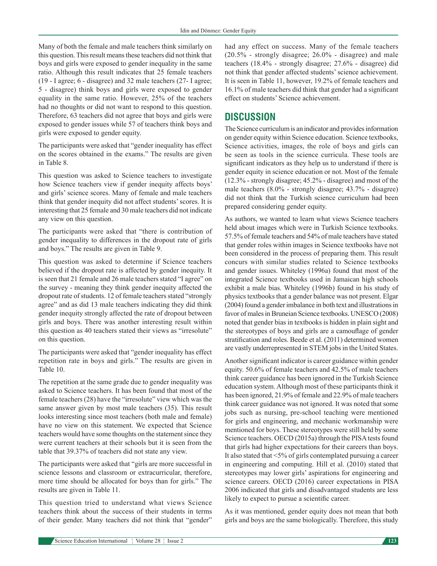Many of both the female and male teachers think similarly on this question. This result means these teachers did not think that boys and girls were exposed to gender inequality in the same ratio. Although this result indicates that 25 female teachers (19 - I agree; 6 - disagree) and 32 male teachers (27- I agree; 5 - disagree) think boys and girls were exposed to gender equality in the same ratio. However, 25% of the teachers had no thoughts or did not want to respond to this question. Therefore, 63 teachers did not agree that boys and girls were exposed to gender issues while 57 of teachers think boys and girls were exposed to gender equity.

The participants were asked that "gender inequality has effect on the scores obtained in the exams." The results are given in Table 8.

This question was asked to Science teachers to investigate how Science teachers view if gender inequity affects boys' and girls' science scores. Many of female and male teachers think that gender inequity did not affect students' scores. It is interesting that 25 female and 30 male teachers did not indicate any view on this question.

The participants were asked that "there is contribution of gender inequality to differences in the dropout rate of girls and boys." The results are given in Table 9.

This question was asked to determine if Science teachers believed if the dropout rate is affected by gender inequity. It is seen that 21 female and 26 male teachers stated "I agree" on the survey - meaning they think gender inequity affected the dropout rate of students. 12 of female teachers stated "strongly agree" and as did 13 male teachers indicating they did think gender inequity strongly affected the rate of dropout between girls and boys. There was another interesting result within this question as 40 teachers stated their views as "irresolute" on this question.

The participants were asked that "gender inequality has effect repetition rate in boys and girls." The results are given in Table 10.

The repetition at the same grade due to gender inequality was asked to Science teachers. It has been found that most of the female teachers (28) have the "irresolute" view which was the same answer given by most male teachers (35). This result looks interesting since most teachers (both male and female) have no view on this statement. We expected that Science teachers would have some thoughts on the statement since they were current teachers at their schools but it is seen from the table that 39.37% of teachers did not state any view.

The participants were asked that "girls are more successful in science lessons and classroom or extracurricular, therefore, more time should be allocated for boys than for girls." The results are given in Table 11.

This question tried to understand what views Science teachers think about the success of their students in terms of their gender. Many teachers did not think that "gender" had any effect on success. Many of the female teachers (20.5% - strongly disagree; 26.0% - disagree) and male teachers (18.4% - strongly disagree; 27.6% - disagree) did not think that gender affected students' science achievement. It is seen in Table 11, however, 19.2% of female teachers and 16.1% of male teachers did think that gender had a significant effect on students' Science achievement.

## **DISCUSSION**

The Science curriculum is an indicator and provides information on gender equity within Science education. Science textbooks, Science activities, images, the role of boys and girls can be seen as tools in the science curricula. These tools are significant indicators as they help us to understand if there is gender equity in science education or not. Most of the female (12.3% - strongly disagree; 45.2% - disagree) and most of the male teachers (8.0% - strongly disagree; 43.7% - disagree) did not think that the Turkish science curriculum had been prepared considering gender equity.

As authors, we wanted to learn what views Science teachers held about images which were in Turkish Science textbooks. 57.5% of female teachers and 54% of male teachers have stated that gender roles within images in Science textbooks have not been considered in the process of preparing them. This result concurs with similar studies related to Science textbooks and gender issues. Whiteley (1996a) found that most of the integrated Science textbooks used in Jamaican high schools exhibit a male bias. Whiteley (1996b) found in his study of physics textbooks that a gender balance was not present. Elgar (2004) found a gender imbalance in both text and illustrations in favor of males in Bruneian Science textbooks. UNESCO (2008) noted that gender bias in textbooks is hidden in plain sight and the stereotypes of boys and girls are a camouflage of gender stratification and roles. Beede et al. (2011) determined women are vastly underrepresented in STEM jobs in the United States.

Another significant indicator is career guidance within gender equity. 50.6% of female teachers and 42.5% of male teachers think career guidance has been ignored in the Turkish Science education system. Although most of these participants think it has been ignored, 21.9% of female and 22.9% of male teachers think career guidance was not ignored. It was noted that some jobs such as nursing, pre-school teaching were mentioned for girls and engineering, and mechanic workmanship were mentioned for boys. These stereotypes were still held by some Science teachers. OECD (2015a) through the PISA tests found that girls had higher expectations for their careers than boys. It also stated that <5% of girls contemplated pursuing a career in engineering and computing. Hill et al. (2010) stated that stereotypes may lower girls' aspirations for engineering and science careers. OECD (2016) career expectations in PISA 2006 indicated that girls and disadvantaged students are less likely to expect to pursue a scientific career.

As it was mentioned, gender equity does not mean that both girls and boys are the same biologically. Therefore, this study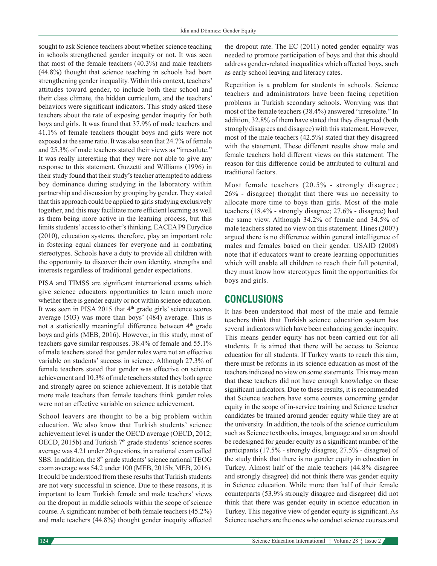sought to ask Science teachers about whether science teaching in schools strengthened gender inequity or not. It was seen that most of the female teachers (40.3%) and male teachers (44.8%) thought that science teaching in schools had been strengthening gender inequality. Within this context, teachers' attitudes toward gender, to include both their school and their class climate, the hidden curriculum, and the teachers' behaviors were significant indicators. This study asked these teachers about the rate of exposing gender inequity for both boys and girls. It was found that 37.9% of male teachers and 41.1% of female teachers thought boys and girls were not exposed at the same ratio. It was also seen that 24.7% of female and 25.3% of male teachers stated their views as "irresolute." It was really interesting that they were not able to give any response to this statement. Guzzetti and Williams (1996) in their study found that their study's teacher attempted to address boy dominance during studying in the laboratory within partnership and discussion by grouping by gender. They stated that this approach could be applied to girls studying exclusively together, and this may facilitate more efficient learning as well as them being more active in the learning process, but this limits students' access to other's thinking. EACEA P9 Eurydice (2010), education systems, therefore, play an important role in fostering equal chances for everyone and in combating stereotypes. Schools have a duty to provide all children with the opportunity to discover their own identity, strengths and interests regardless of traditional gender expectations.

PISA and TIMSS are significant international exams which give science educators opportunities to learn much more whether there is gender equity or not within science education. It was seen in PISA 2015 that 4<sup>th</sup> grade girls' science scores average (503) was more than boys' (484) average. This is not a statistically meaningful difference between 4<sup>th</sup> grade boys and girls (MEB, 2016). However, in this study, most of teachers gave similar responses. 38.4% of female and 55.1% of male teachers stated that gender roles were not an effective variable on students' success in science. Although 27.3% of female teachers stated that gender was effective on science achievement and 10.3% of male teachers stated they both agree and strongly agree on science achievement. It is notable that more male teachers than female teachers think gender roles were not an effective variable on science achievement.

School leavers are thought to be a big problem within education. We also know that Turkish students' science achievement level is under the OECD average (OECD, 2012; OECD, 2015b) and Turkish 7<sup>th</sup> grade students' science scores average was 4.21 under 20 questions, in a national exam called SBS. In addition, the 8<sup>th</sup> grade students' science national TEOG exam average was 54.2 under 100 (MEB, 2015b; MEB, 2016). It could be understood from these results that Turkish students are not very successful in science. Due to these reasons, it is important to learn Turkish female and male teachers' views on the dropout in middle schools within the scope of science course. A significant number of both female teachers (45.2%) and male teachers (44.8%) thought gender inequity affected the dropout rate. The EC (2011) noted gender equality was needed to promote participation of boys and that this should address gender-related inequalities which affected boys, such as early school leaving and literacy rates.

Repetition is a problem for students in schools. Science teachers and administrators have been facing repetition problems in Turkish secondary schools. Worrying was that most of the female teachers (38.4%) answered "irresolute." In addition, 32.8% of them have stated that they disagreed (both strongly disagrees and disagree) with this statement. However, most of the male teachers (42.5%) stated that they disagreed with the statement. These different results show male and female teachers hold different views on this statement. The reason for this difference could be attributed to cultural and traditional factors.

Most female teachers (20.5% - strongly disagree; 26% - disagree) thought that there was no necessity to allocate more time to boys than girls. Most of the male teachers (18.4% - strongly disagree; 27.6% - disagree) had the same view. Although 34.2% of female and 34.5% of male teachers stated no view on this statement. Hines (2007) argued there is no difference within general intelligence of males and females based on their gender. USAID (2008) note that if educators want to create learning opportunities which will enable all children to reach their full potential, they must know how stereotypes limit the opportunities for boys and girls.

## **CONCLUSIONS**

It has been understood that most of the male and female teachers think that Turkish science education system has several indicators which have been enhancing gender inequity. This means gender equity has not been carried out for all students. It is aimed that there will be access to Science education for all students. If Turkey wants to reach this aim, there must be reforms in its science education as most of the teachers indicated no view on some statements. This may mean that these teachers did not have enough knowledge on these significant indicators. Due to these results, it is recommended that Science teachers have some courses concerning gender equity in the scope of in-service training and Science teacher candidates be trained around gender equity while they are at the university. In addition, the tools of the science curriculum such as Science textbooks, images, language and so on should be redesigned for gender equity as a significant number of the participants (17.5% - strongly disagree; 27.5% - disagree) of the study think that there is no gender equity in education in Turkey. Almost half of the male teachers (44.8% disagree and strongly disagree) did not think there was gender equity in Science education. While more than half of their female counterparts (53.9% strongly disagree and disagree) did not think that there was gender equity in science education in Turkey. This negative view of gender equity is significant. As Science teachers are the ones who conduct science courses and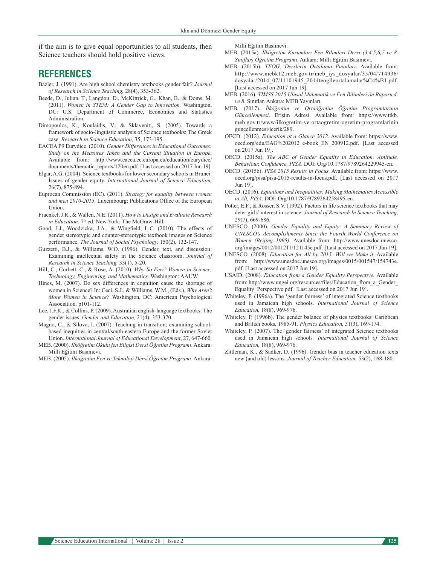if the aim is to give equal opportunities to all students, then Science teachers should hold positive views.

## **REFERENCES**

- Bazler, J. (1991). Are high school chemistry textbooks gender fair? *Journal of Research in Science Teaching,* 28(4), 353-362.
- Beede, D., Julian, T., Langdon, D., McKittrick, G., Khan, B., & Doms, M. (2011). *Women in STEM: A Gender Gap to Innovation.* Washington, DC: U.S. Department of Commerce, Economics and Statistics Administration.
- Dimopoulos, K., Koulaidis, V., & Sklaveniti, S. (2005). Towards a framework of socio-linguistic analysis of Science textbooks: The Greek case. *Research in Science Education,* 35, 173-195.
- EACEA P9 Eurydice. (2010). *Gender Differences in Educational Outcomes: Study on the Measures Taken and the Current Situation in Europe.* Available from: http://www.eacea.ec.europa.eu/education/eurydice/ documents/thematic\_reports/120en.pdf. [Last accessed on 2017 Jun 19].
- Elgar, A.G. (2004). Science textbooks for lower secondary schools in Brunei: İssues of gender equity. *International Journal of Science Education,*  26(7), 875-894.
- Euproean Commission (EC). (2011). *Strategy for equality between women and men 2010-2015*. Luxembourg: Publications Office of the European Union.
- Fraenkel, J.R., & Wallen, N.E. (2011). *How to Design and Evaluate Research in Education*. 7<sup>th</sup> ed. New York: The McGraw-Hill.
- Good, J.J., Woodzicka, J.A., & Wingfield, L.C. (2010). The effects of gender stereotypic and counter-stereotypic textbook images on Science performance. *The Journal of Social Psychology,* 150(2), 132-147.
- Guzzetti, B.J., & Williams, W.O. (1996). Gender, text, and discussion: Examining intellectual safety in the Science classroom. *Journal of Research in Science Teaching,* 33(1), 5-20.
- Hill, C., Corbett, C., & Rose, A. (2010). *Why So Few? Women in Science, Technology, Engineering, and Mathematics*. Washington: AAUW.
- Hines, M. (2007). Do sex differences in cognition cause the shortage of women in Science? In: Ceci, S.J., & Williams, W.M., (Eds.), *Why Aren't More Women in Science?* Washington, DC: American Psychological Association. p101-112.
- Lee, J.F.K., & Collins, P. (2009). Australian english-language textbooks: The gender issues. *Gender and Education,* 21(4), 353-370.
- Magno, C., & Silova, I. (2007). Teaching in transition; examining schoolbased inequities in central/south-eastern Europe and the former Soviet Union. *International Journal of Educational Development*, 27, 647-660.
- MEB. (2000). *İlköğretim Okulu fen Bilgisi Dersi Öğretim Programı*. Ankara: Milli Eğitim Basımevi.
- MEB. (2005). *İlköğretim Fen ve Teknoloji Dersi Öğretim Programı*. Ankara:

Milli Eğitim Basımevi.

- MEB. (2015a). *İlköğretim Kurumları Fen Bilimleri Dersi (3,4,5,6,7 ve 8. Sınıflar) Öğretim Programı*. Ankara: Milli Eğitim Basımevi.
- MEB. (2015b). *TEOG, Derslerin Ortalama Puanları*. Available from: http://www.mebk12.meb.gov.tr/meb\_iys\_dosyalar/35/04/714936/ dosyalar/2014\_07/11101945\_2014teoglleortalamalar%C4%B1.pdf. [Last accessed on 2017 Jun 19].
- MEB. (2016). *TIMSS 2015 Ulusal Matematik ve Fen Bilimleri ön Raporu 4. ve 8.* Sınıflar. Ankara: MEB Yayınları.
- MEB. (2017). *İlköğretim ve Ortaöğretim Öğretim Programlarının Güncellenmesi*. Erişim Adresi. Available from: https://www.ttkb. meb.gov.tr/www/ilkogretim-ve-ortaogretim-ogretim-programlarinin guncellenmesi/icerik/289.
- OECD. (2012). *Education at a Glance 2012*. Available from: https://www. oecd.org/edu/EAG%202012\_e-book\_EN\_200912.pdf. [Last accessed on 2017 Jun 19].
- OECD. (2015a). *The ABC of Gender Equality in Education: Aptitude, Behaviour, Confidence, PISA*. DOI: Org/10.1787/9789264229945-en.
- OECD. (2015b). *PISA 2015 Results in Focus.* Available from: https://www. oecd.org/pisa/pisa-2015-results-in-focus.pdf. [Last accessed on 2017 Jun 19].
- OECD. (2016). *Equations and Inequalities: Making Mathematics Accessible to All, PISA.* DOI: Org/10.1787/9789264258495-en.
- Potter, E.F., & Rosser, S.V. (1992). Factors in life science textbooks that may deter girls' ınterest in science. *Journal of Research In Science Teaching,*  29(7), 669-686.
- UNESCO. (2000). *Gender Equality and Equity: A Summary Review of UNESCO's Accomplishments Since the Fourth World Conference on Women (Beijing 1995).* Available from: http://www.unesdoc.unesco. org/images/0012/001211/121145e.pdf. [Last accessed on 2017 Jun 19].
- UNESCO. (2008). *Education for All by 2015: Will we Make it.* Available from: http://www.unesdoc.unesco.org/images/0015/001547/154743e. pdf. [Last accessed on 2017 Jun 19].
- USAID. (2008). *Educatıon from a Gender Equalıty Perspectıve.* Available from: http://www.ungei.org/resources/files/Education\_from\_a\_Gender\_ Equality\_Perspective.pdf. [Last accessed on 2017 Jun 19].
- Whiteley, P. (1996a). The 'gender fairness' of integrated Science textbooks used in Jamaican high schools. *International Journal of Science Education,* 18(8), 969-976.
- Whiteley, P. (1996b). The gender balance of physics textbooks: Caribbean and British books, 1985-91. *Physics Education,* 31(3), 169-174.
- Whiteley, P. (2007). The 'gender fairness' of integrated Science textbooks used in Jamaican high schools*. International Journal of Science Education,* 18(8), 969-976.
- Zittleman, K., & Sadker, D. (1996). Gender bıas ın teacher educatıon texts new (and old) lessons. *Journal of Teacher Education,* 53(2), 168-180.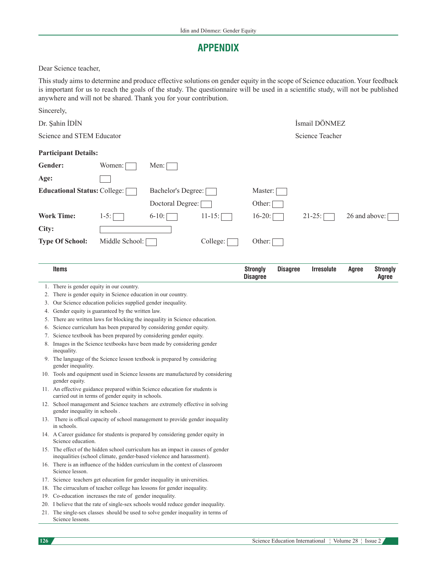## **APPENDIX**

Dear Science teacher,

This study aims to determine and produce effective solutions on gender equity in the scope of Science education. Your feedback is important for us to reach the goals of the study. The questionnaire will be used in a scientific study, will not be published anywhere and will not be shared. Thank you for your contribution.

|                                     | Sincerely,                                                                                                                                               |                                                             |                                                                                   |           |                                    |                 |                   |               |                                 |  |  |  |
|-------------------------------------|----------------------------------------------------------------------------------------------------------------------------------------------------------|-------------------------------------------------------------|-----------------------------------------------------------------------------------|-----------|------------------------------------|-----------------|-------------------|---------------|---------------------------------|--|--|--|
| Dr. Şahin İDİN                      |                                                                                                                                                          |                                                             |                                                                                   |           |                                    | İsmail DÖNMEZ   |                   |               |                                 |  |  |  |
| Science and STEM Educator           |                                                                                                                                                          |                                                             |                                                                                   |           |                                    | Science Teacher |                   |               |                                 |  |  |  |
|                                     | <b>Participant Details:</b>                                                                                                                              |                                                             |                                                                                   |           |                                    |                 |                   |               |                                 |  |  |  |
|                                     | Gender:                                                                                                                                                  | Women:                                                      | Men:                                                                              |           |                                    |                 |                   |               |                                 |  |  |  |
| Age:                                |                                                                                                                                                          |                                                             |                                                                                   |           |                                    |                 |                   |               |                                 |  |  |  |
| <b>Educational Status: College:</b> |                                                                                                                                                          |                                                             | Bachelor's Degree:                                                                |           | Master:                            |                 |                   |               |                                 |  |  |  |
|                                     |                                                                                                                                                          |                                                             | Doctoral Degree:                                                                  |           | Other:                             |                 |                   |               |                                 |  |  |  |
|                                     | <b>Work Time:</b>                                                                                                                                        | $1-5:$                                                      | $6-10$ :                                                                          | $11-15$ : | $16-20$ :                          |                 | $21-25$ :         | 26 and above: |                                 |  |  |  |
| City:                               |                                                                                                                                                          |                                                             |                                                                                   |           |                                    |                 |                   |               |                                 |  |  |  |
|                                     | <b>Type Of School:</b>                                                                                                                                   | Middle School:                                              |                                                                                   | College:  | Other:                             |                 |                   |               |                                 |  |  |  |
|                                     |                                                                                                                                                          |                                                             |                                                                                   |           |                                    |                 |                   |               |                                 |  |  |  |
|                                     | <b>Items</b>                                                                                                                                             |                                                             |                                                                                   |           | <b>Strongly</b><br><b>Disagree</b> | <b>Disagree</b> | <b>Irresolute</b> | Agree         | <b>Strongly</b><br><b>Agree</b> |  |  |  |
|                                     | 1. There is gender equity in our country.                                                                                                                |                                                             |                                                                                   |           |                                    |                 |                   |               |                                 |  |  |  |
| 2.                                  |                                                                                                                                                          | There is gender equity in Science education in our country. |                                                                                   |           |                                    |                 |                   |               |                                 |  |  |  |
| 3.                                  |                                                                                                                                                          | Our Science education policies supplied gender inequality.  |                                                                                   |           |                                    |                 |                   |               |                                 |  |  |  |
| 4.                                  | Gender equity is guaranteed by the written law.                                                                                                          |                                                             |                                                                                   |           |                                    |                 |                   |               |                                 |  |  |  |
| 5.                                  | There are written laws for blocking the inequality in Science education.                                                                                 |                                                             |                                                                                   |           |                                    |                 |                   |               |                                 |  |  |  |
|                                     | 6. Science curriculum has been prepared by considering gender equity.                                                                                    |                                                             |                                                                                   |           |                                    |                 |                   |               |                                 |  |  |  |
|                                     | 7. Science textbook has been prepared by considering gender equity.<br>8. Images in the Science textbooks have been made by considering gender           |                                                             |                                                                                   |           |                                    |                 |                   |               |                                 |  |  |  |
|                                     | inequality.                                                                                                                                              |                                                             |                                                                                   |           |                                    |                 |                   |               |                                 |  |  |  |
|                                     | 9. The language of the Science lesson textbook is prepared by considering<br>gender inequality.                                                          |                                                             |                                                                                   |           |                                    |                 |                   |               |                                 |  |  |  |
|                                     | 10. Tools and equipment used in Science lessons are manufactured by considering<br>gender equity.                                                        |                                                             |                                                                                   |           |                                    |                 |                   |               |                                 |  |  |  |
|                                     |                                                                                                                                                          | carried out in terms of gender equity in schools.           | 11. An effective guidance prepared within Science education for students is       |           |                                    |                 |                   |               |                                 |  |  |  |
|                                     | gender inequality in schools.                                                                                                                            |                                                             | 12. School management and Science teachers are extremely effective in solving     |           |                                    |                 |                   |               |                                 |  |  |  |
|                                     | in schools.                                                                                                                                              |                                                             | 13. There is offical capacity of school management to provide gender inequality   |           |                                    |                 |                   |               |                                 |  |  |  |
|                                     | 14. A Career guidance for students is prepared by considering gender equity in<br>Science education.                                                     |                                                             |                                                                                   |           |                                    |                 |                   |               |                                 |  |  |  |
|                                     | 15. The effect of the hidden school curriculum has an impact in causes of gender<br>inequalities (school climate, gender-based violence and harassment). |                                                             |                                                                                   |           |                                    |                 |                   |               |                                 |  |  |  |
|                                     | Science lesson.                                                                                                                                          |                                                             | 16. There is an influence of the hidden curriculum in the context of classroom    |           |                                    |                 |                   |               |                                 |  |  |  |
|                                     |                                                                                                                                                          |                                                             | 17. Science teachers get education for gender inequality in universities.         |           |                                    |                 |                   |               |                                 |  |  |  |
|                                     |                                                                                                                                                          |                                                             | 18. The cirruculum of teacher college has lessons for gender inequality.          |           |                                    |                 |                   |               |                                 |  |  |  |
|                                     |                                                                                                                                                          | 19. Co-education increases the rate of gender inequality.   |                                                                                   |           |                                    |                 |                   |               |                                 |  |  |  |
|                                     |                                                                                                                                                          |                                                             | 20. I believe that the rate of single-sex schools would reduce gender inequality. |           |                                    |                 |                   |               |                                 |  |  |  |
|                                     | Science lessons.                                                                                                                                         |                                                             | 21. The single-sex classes should be used to solve gender inequality in terms of  |           |                                    |                 |                   |               |                                 |  |  |  |